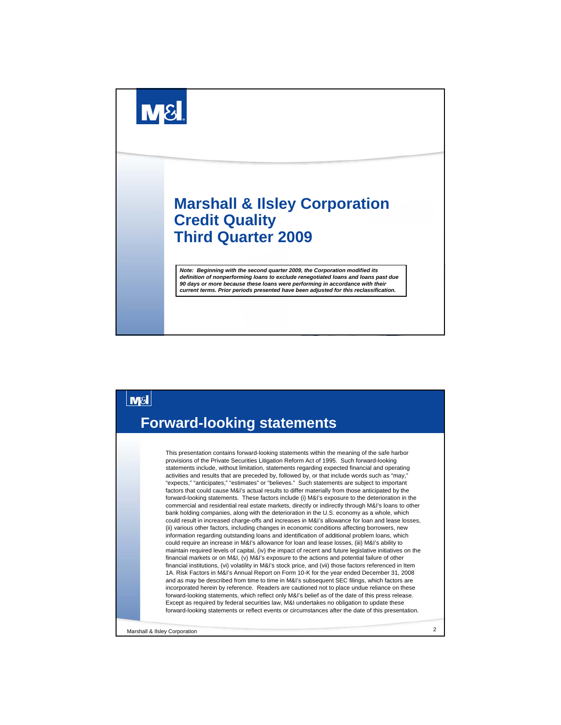



Marshall & Ilsley Corporation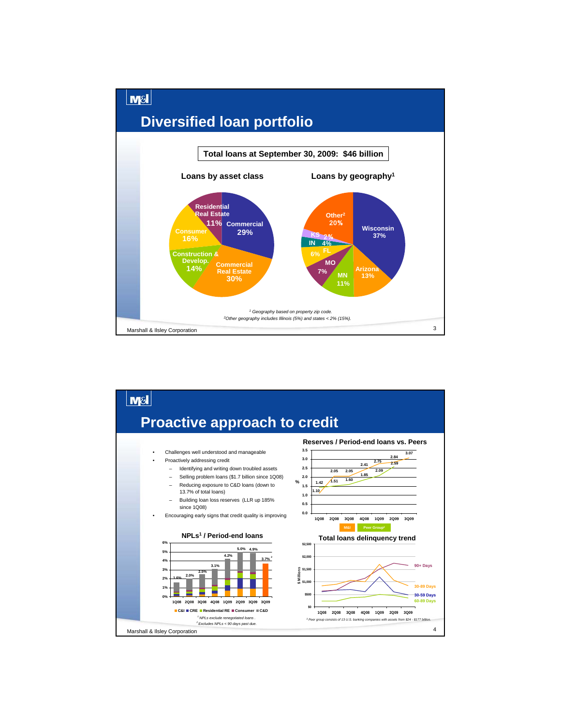

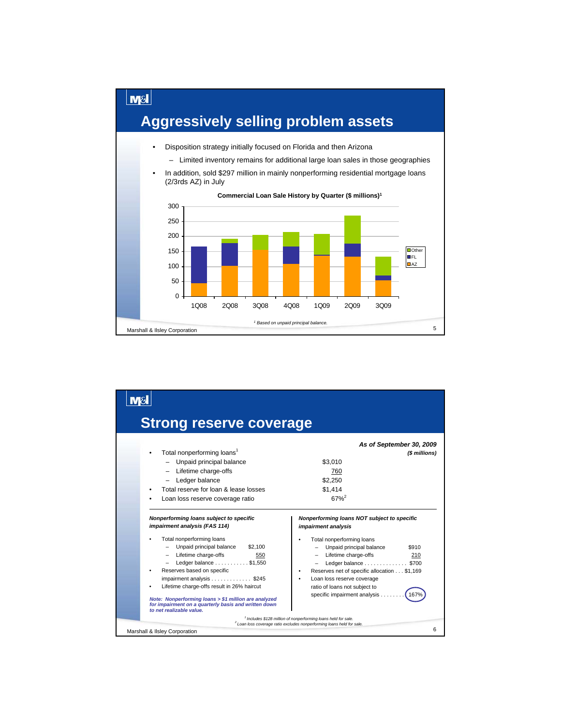

| <b>Strong reserve coverage</b>                                                                                                                                                                                                                                                                                                                                                                                                                                                      |                                                                                                                                                                                                                                                                                                                                                                                                                                            |
|-------------------------------------------------------------------------------------------------------------------------------------------------------------------------------------------------------------------------------------------------------------------------------------------------------------------------------------------------------------------------------------------------------------------------------------------------------------------------------------|--------------------------------------------------------------------------------------------------------------------------------------------------------------------------------------------------------------------------------------------------------------------------------------------------------------------------------------------------------------------------------------------------------------------------------------------|
| Total nonperforming loans <sup>1</sup><br>- Unpaid principal balance<br>- Lifetime charge-offs<br>Ledger balance<br>Total reserve for loan & lease losses<br>Loan loss reserve coverage ratio                                                                                                                                                                                                                                                                                       | As of September 30, 2009<br>(\$ millions)<br>\$3.010<br>760<br>\$2.250<br>\$1.414<br>$67%^{2}$                                                                                                                                                                                                                                                                                                                                             |
| Nonperforming loans subject to specific<br>impairment analysis (FAS 114)<br>Total nonperforming loans<br>Unpaid principal balance<br>\$2,100<br>- Lifetime charge-offs<br>550<br>Ledger balance $\ldots \ldots \ldots$ \$1,550<br>Reserves based on specific<br>impairment analysis \$245<br>Lifetime charge-offs result in 26% haircut<br>Note: Nonperforming loans > \$1 million are analyzed<br>for impairment on a quarterly basis and written down<br>to net realizable value. | Nonperforming loans NOT subject to specific<br>impairment analysis<br>Total nonperforming loans<br>Unpaid principal balance<br>\$910<br>Lifetime charge-offs<br>210<br>Ledger balance \$700<br>Reserves net of specific allocation \$1,169<br>Loan loss reserve coverage<br>ratio of loans not subject to<br>specific impairment analysis<br>167 <sup>°</sup><br><sup>1</sup> Includes \$128 million of nonperforming loans held for sale. |
| Marshall & Ilsley Corporation                                                                                                                                                                                                                                                                                                                                                                                                                                                       | <sup>2</sup> Loan loss coverage ratio excludes nonperforming loans held for sale.<br>6                                                                                                                                                                                                                                                                                                                                                     |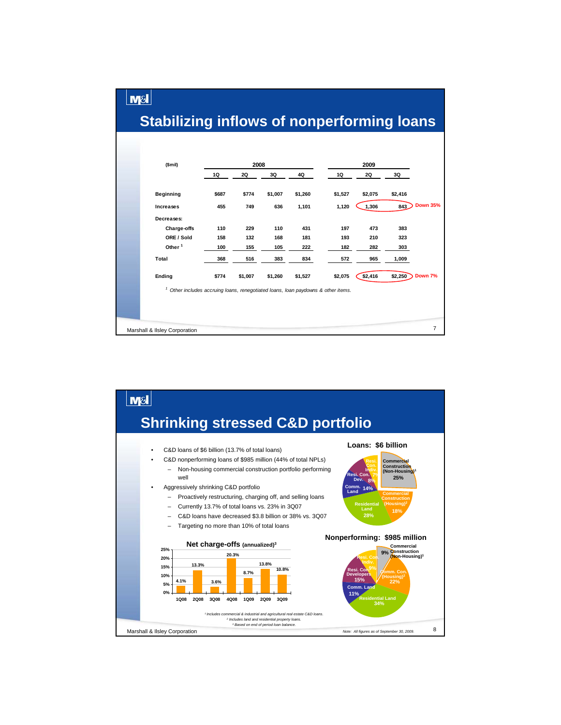## **Stabilizing inflows of nonperforming loans**

 $M<sub>S</sub>$ 

| \$mi)                                                                                |       | 2008    |         |         |         | 2009    |         |                 |
|--------------------------------------------------------------------------------------|-------|---------|---------|---------|---------|---------|---------|-----------------|
|                                                                                      | 1Q    | 2Q      | 3Q      | 4Q      | 1Q      | 2Q      | 3Q      |                 |
| Beginning                                                                            | \$687 | \$774   | \$1,007 | \$1,260 | \$1,527 | \$2,075 | \$2,416 |                 |
| Increases                                                                            | 455   | 749     | 636     | 1,101   | 1,120   | 1,306   | 843     | <b>Down 35%</b> |
| Decreases:                                                                           |       |         |         |         |         |         |         |                 |
| Charge-offs                                                                          | 110   | 229     | 110     | 431     | 197     | 473     | 383     |                 |
| ORE / Sold                                                                           | 158   | 132     | 168     | 181     | 193     | 210     | 323     |                 |
| Other <sup>1</sup>                                                                   | 100   | 155     | 105     | 222     | 182     | 282     | 303     |                 |
| Total                                                                                | 368   | 516     | 383     | 834     | 572     | 965     | 1,009   |                 |
| Ending                                                                               | \$774 | \$1,007 | \$1,260 | \$1,527 | \$2,075 | \$2,416 | \$2,250 | Down 7%         |
| 1<br>Other includes accruing loans, renegotiated loans, loan paydowns & other items. |       |         |         |         |         |         |         |                 |
|                                                                                      |       |         |         |         |         |         |         |                 |
|                                                                                      |       |         |         |         |         |         |         |                 |
|                                                                                      |       |         |         |         |         |         |         |                 |
| Marshall & Ilsley Corporation                                                        |       |         |         |         |         |         |         | $\overline{7}$  |

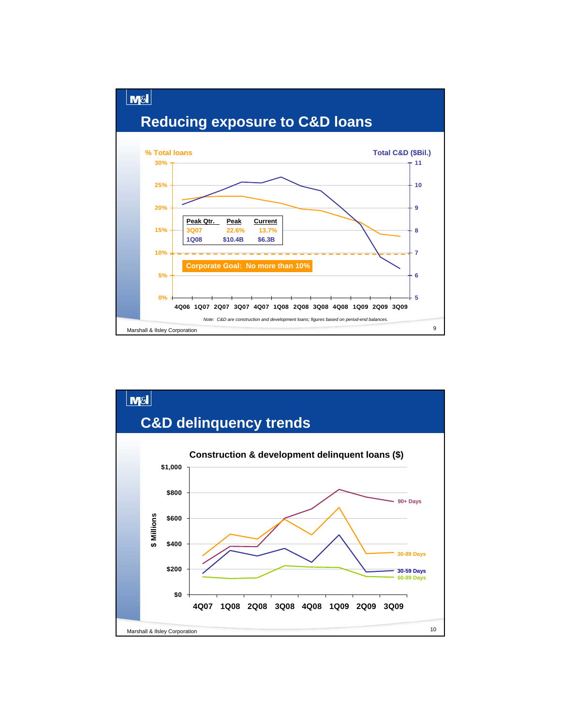

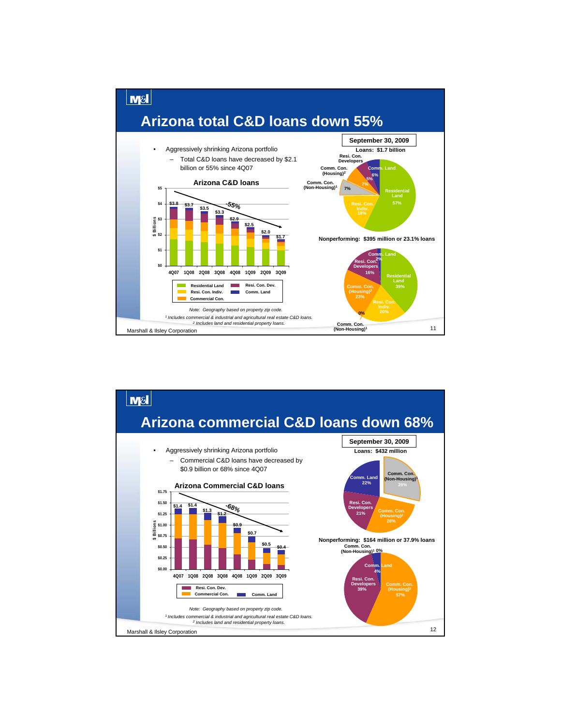

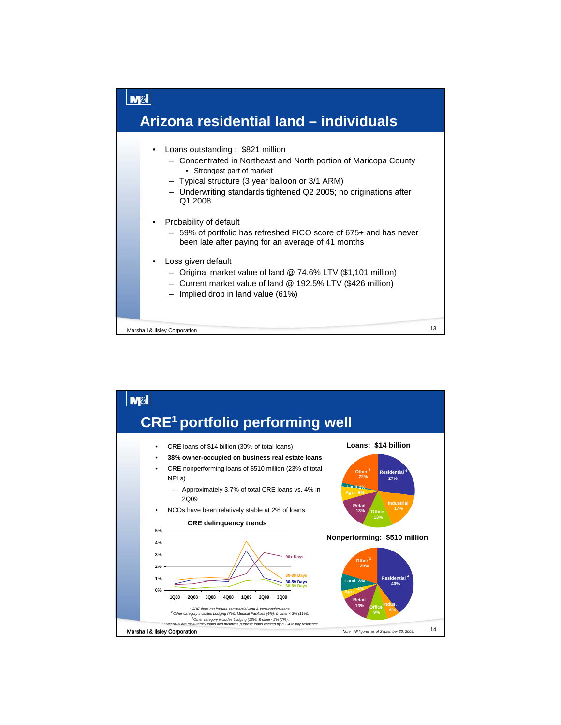

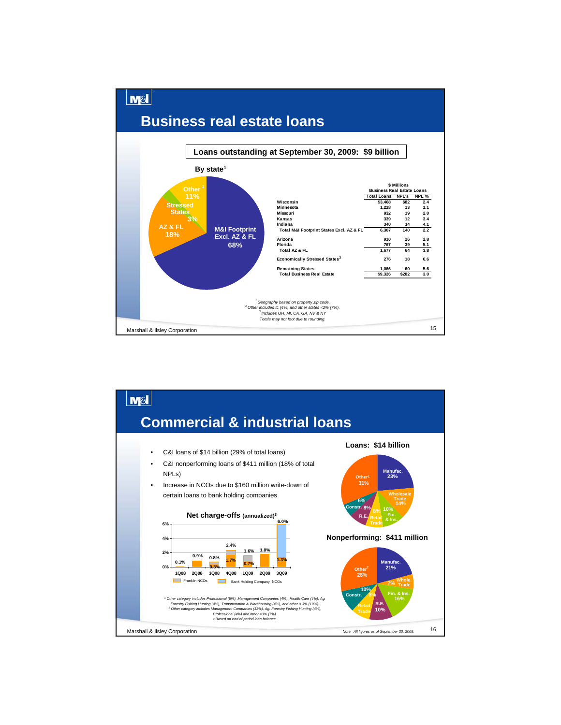## **Business real estate loans**

 $M<sub>S</sub>$ 



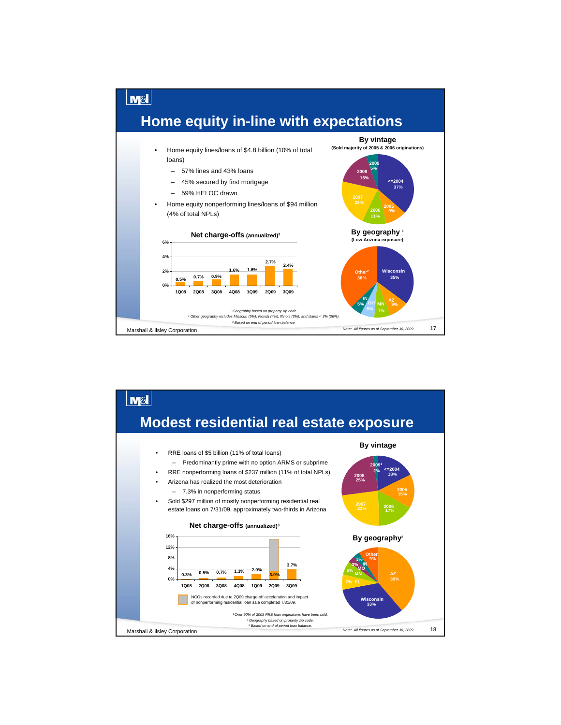

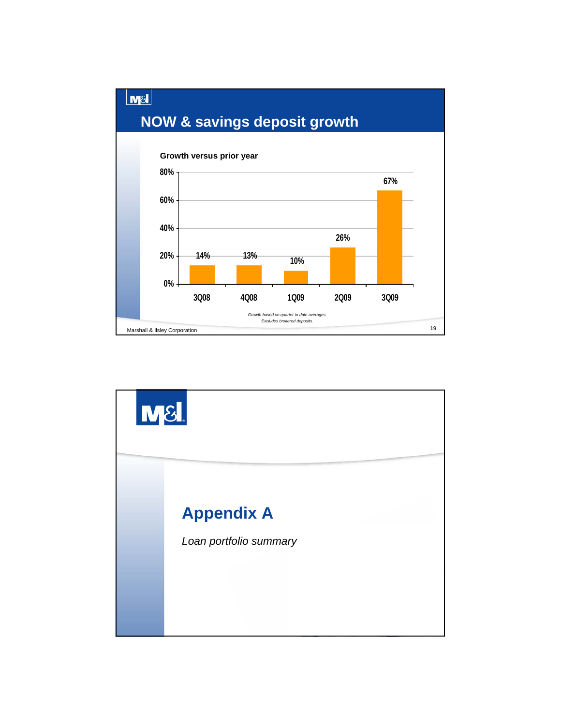

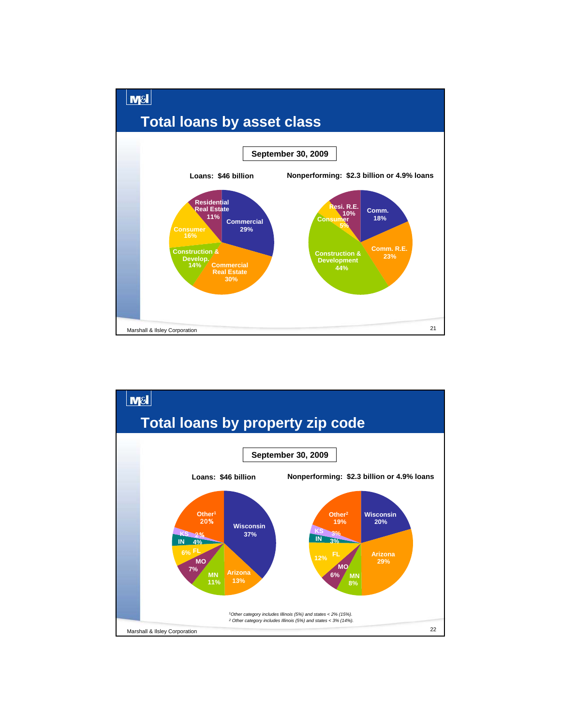

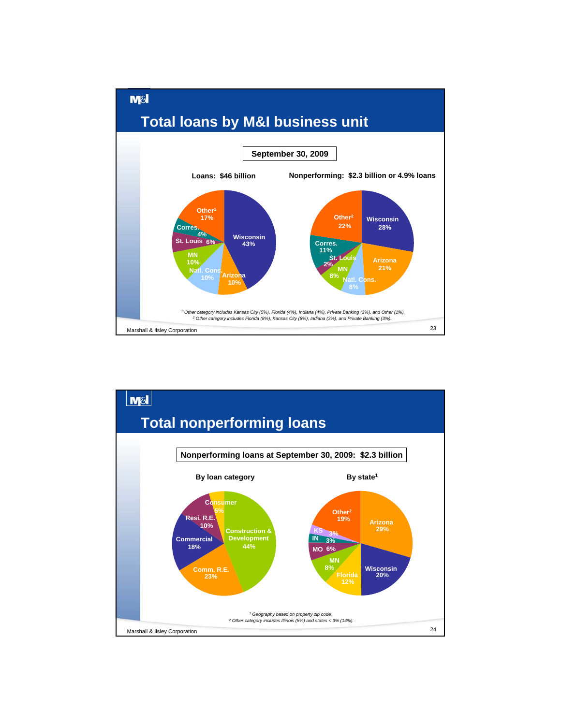

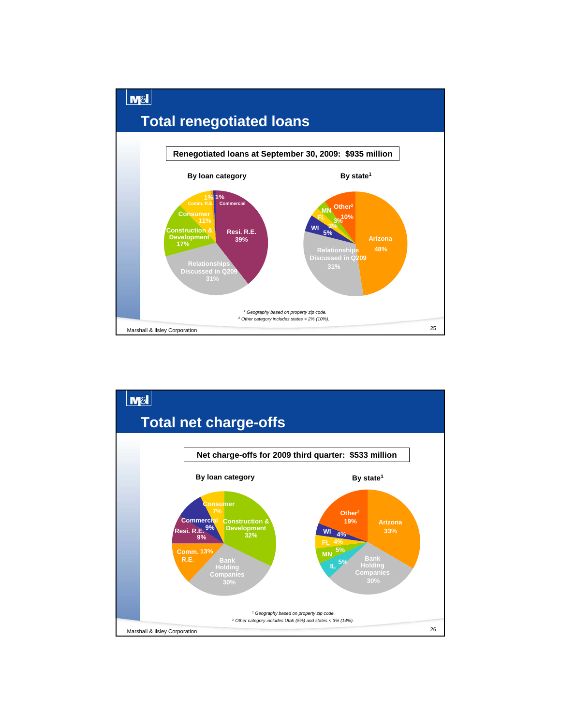

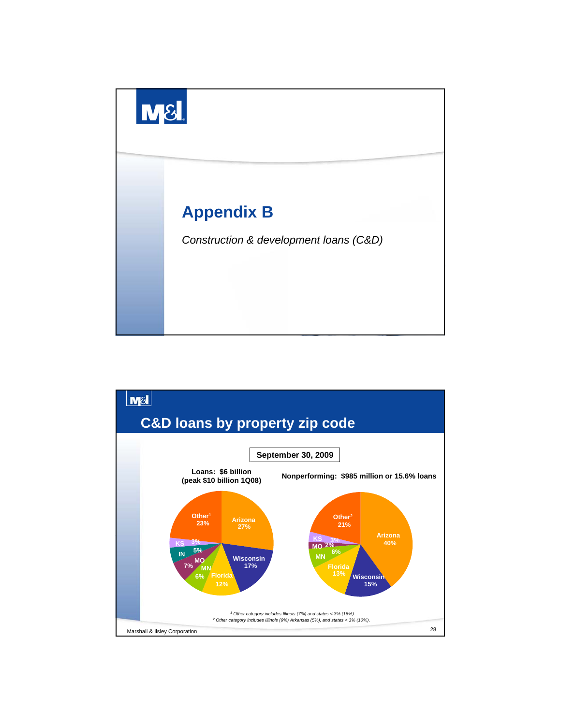

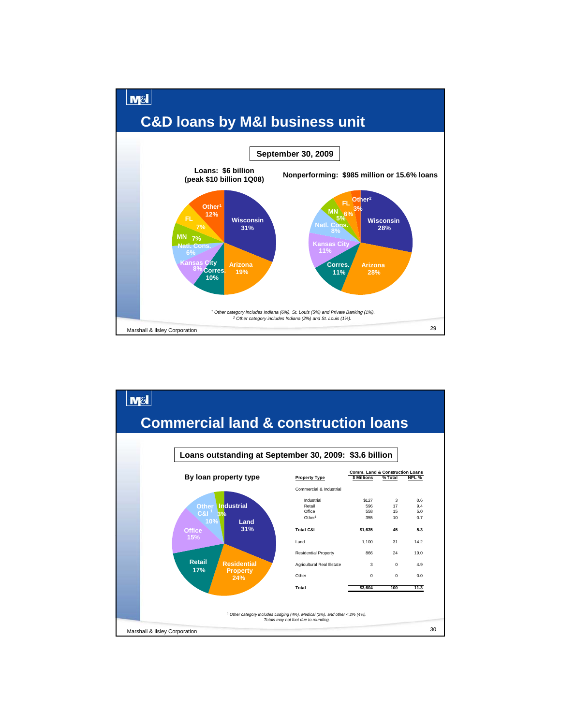

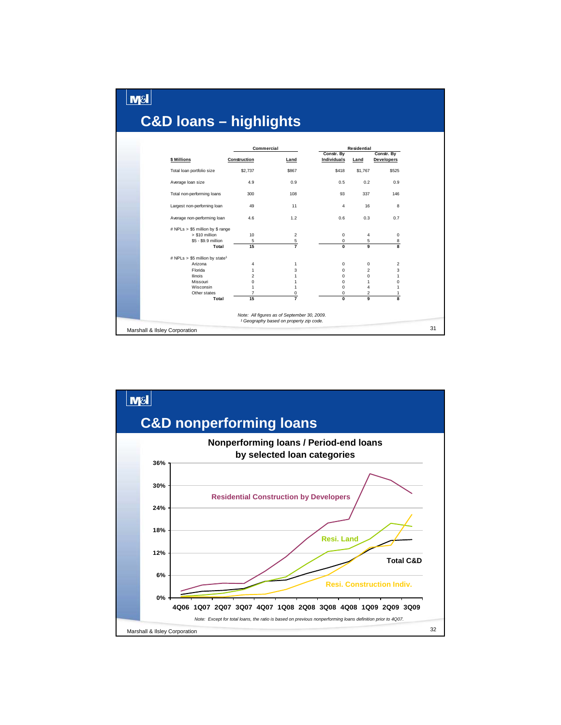|                                            | Commercial          |             |                           | <b>Residential</b>      |                                 |
|--------------------------------------------|---------------------|-------------|---------------------------|-------------------------|---------------------------------|
| \$ Millions                                | Construction        | Land        | Constr. By<br>Individuals | Land                    | Constr. By<br><b>Developers</b> |
| Total loan portfolio size                  | \$2,737             | \$867       | \$418                     | \$1,767                 | \$525                           |
| Average Ioan size                          | 4.9                 | 0.9         | 0.5                       | 0.2                     | 0.9                             |
| Total non-performing loans                 | 300                 | 108         | 93                        | 337                     | 146                             |
| Largest non-perforning loan                | 49                  | 11          | 4                         | 16                      | 8                               |
| Average non-performing loan                | 4.6                 | 1.2         | 0.6                       | 0.3                     | 0.7                             |
| # NPLs > \$5 million by \$ range           |                     |             |                           |                         |                                 |
| > \$10 million                             | 10                  | 2           | $\Omega$                  | 4                       | 0                               |
| \$5 - \$9.9 million                        | 5                   | $rac{5}{7}$ | 0                         | 5                       | 8                               |
| Total                                      | $\overline{15}$     |             | $\bf{0}$                  | 9                       | $\overline{\mathbf{g}}$         |
| # NPLs > \$5 million by state <sup>1</sup> |                     |             |                           |                         |                                 |
| Arizona                                    | 4                   | 1           | 0                         | 0                       | $\overline{c}$                  |
| Florida                                    | 1                   | 3           | $\mathbf 0$               | $\overline{2}$          | 3                               |
| <b>Ilinois</b>                             | $\overline{2}$      | 1           | 0                         | $\mathbf 0$             | $\mathbf{1}$                    |
| Missouri                                   | 0                   | 1           | $\Omega$                  | $\mathbf{1}$<br>4       | $\mathbf 0$<br>1                |
| Wisconsin<br>Other states                  | 1<br>$\overline{7}$ | 1<br>0      | $\Omega$<br>0             | $\overline{\mathbf{c}}$ | 1                               |
| Total                                      | 15                  |             | <b>n</b>                  | $\mathbf{Q}$            | $\overline{\mathbf{8}}$         |

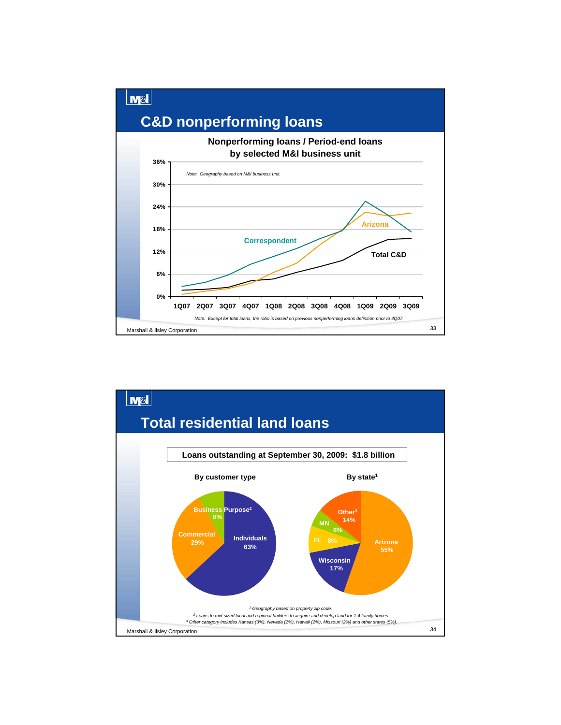

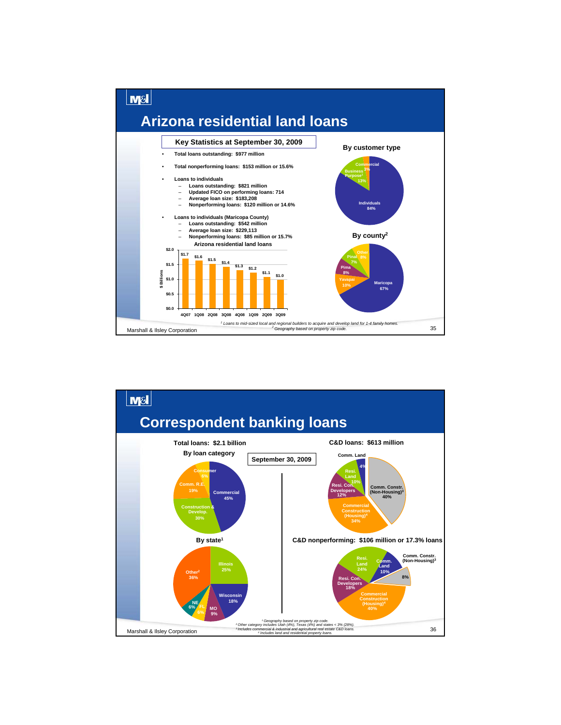

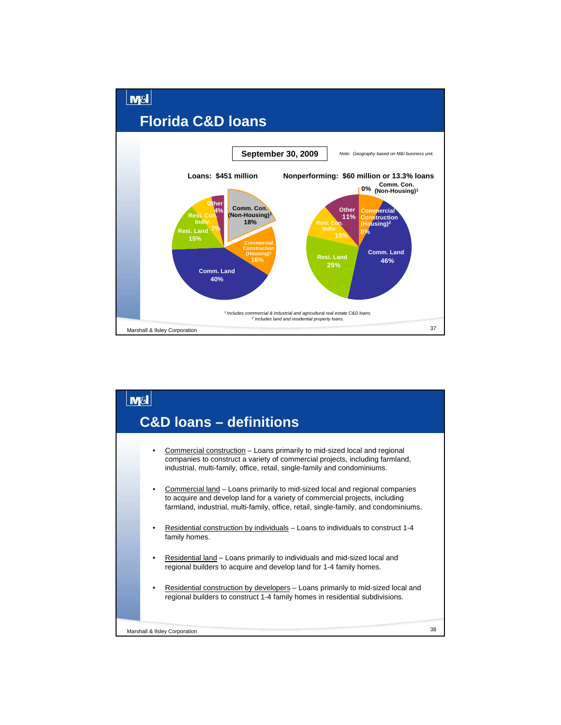

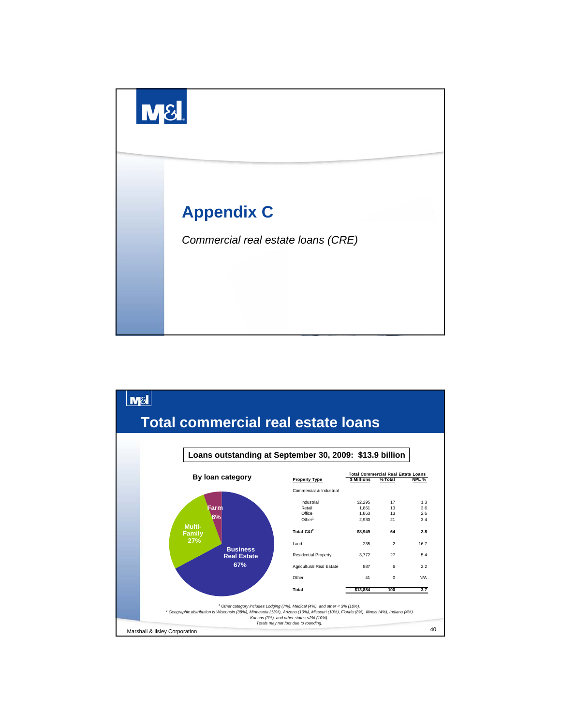

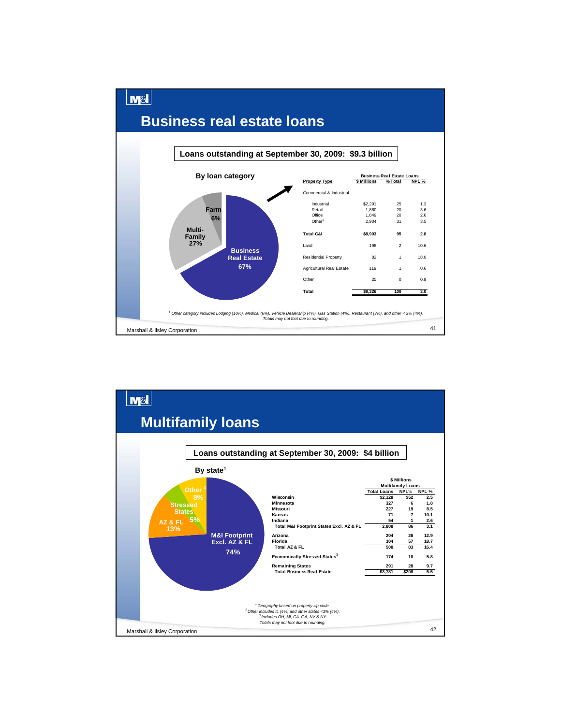

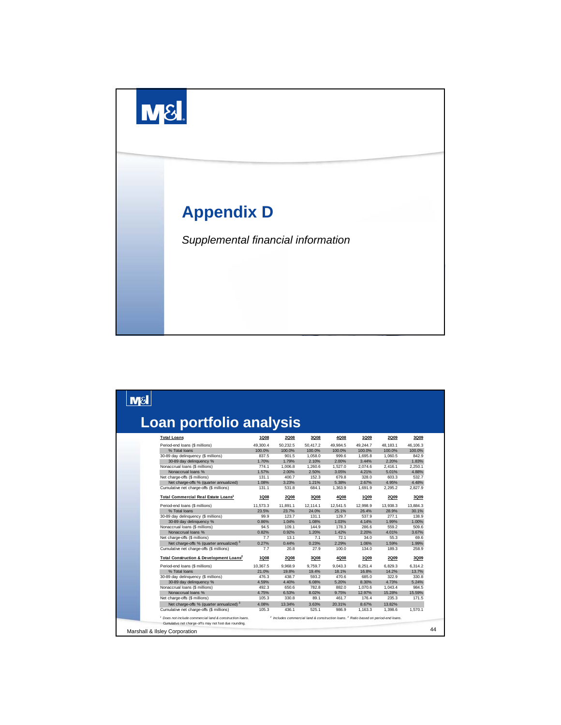

| Loan portfolio analysis                                                                                                      |             |             |          |                                                                                                           |             |             |          |
|------------------------------------------------------------------------------------------------------------------------------|-------------|-------------|----------|-----------------------------------------------------------------------------------------------------------|-------------|-------------|----------|
| <b>Total Loans</b>                                                                                                           | <b>1Q08</b> | <b>2Q08</b> | 3Q08     | 4Q08                                                                                                      | 1Q09        | <b>2Q09</b> | 3Q09     |
| Period-end loans (\$ millions)                                                                                               | 49.300.4    | 50.232.5    | 50.417.2 | 49.984.5                                                                                                  | 49.244.7    | 48.183.1    | 46.106.3 |
| % Total loans                                                                                                                | 100.0%      | 100.0%      | 100.0%   | 100.0%                                                                                                    | 100.0%      | 100.0%      | 100.0%   |
| 30-89 day delinquency (\$ millions)                                                                                          | 837.5       | 901.5       | 1.058.0  | 999.6                                                                                                     | 1.695.8     | 1.060.5     | 842.9    |
| 30-89 day delinquency %                                                                                                      | 1.70%       | 1.79%       | 2.10%    | 2.00%                                                                                                     | 3.44%       | 2.20%       | 1.83%    |
| Nonaccrual loans (\$ millions)                                                                                               | 774.1       | 1.006.8     | 1.260.6  | 1.527.0                                                                                                   | 2.074.6     | 2.416.1     | 2.250.1  |
| Nonaccrual loans %                                                                                                           | 1.57%       | 2.00%       | 2.50%    | 3.05%                                                                                                     | 4.21%       | 5.01%       | 4.88%    |
| Net charge-offs (\$ millions)                                                                                                | 131.1       | 400.7       | 152.3    | 679.8                                                                                                     | 328.0       | 603.3       | 532.7    |
| Net charge-offs % (quarter annualized)                                                                                       | 1.08%       | 3.23%       | 1.21%    | 5.38%                                                                                                     | 2.67%       | 4.95%       | 4.48%    |
| Cumulative net charge-offs (\$ millions)                                                                                     | 131.1       | 531.8       | 684.1    | 1,363.9                                                                                                   | 1,691.9     | 2,295.2     | 2,827.9  |
| Total Commercial Real Estate Loans <sup>1</sup>                                                                              | <b>1Q08</b> | <b>2Q08</b> | 3Q08     | 4Q08                                                                                                      | <b>1Q09</b> | <b>2Q09</b> | 3Q09     |
| Period-end loans (\$ millions)                                                                                               | 11,573.3    | 11,891.1    | 12,114.1 | 12,541.5                                                                                                  | 12,998.9    | 13,938.3    | 13.884.3 |
| % Total loans                                                                                                                | 23.5%       | 23.7%       | 24.0%    | 25.1%                                                                                                     | 26.4%       | 28.9%       | 30.1%    |
| 30-89 day delinquency (\$ millions)                                                                                          | 99.9        | 123.7       | 131.1    | 129.7                                                                                                     | 537.9       | 277.1       | 138.9    |
| 30-89 day delinquency %                                                                                                      | 0.86%       | 1.04%       | 1.08%    | 1.03%                                                                                                     | 4.14%       | 1.99%       | 1.00%    |
| Nonaccrual loans (\$ millions)                                                                                               | 94.5        | 109.1       | 144.9    | 178.3                                                                                                     | 286.6       | 559.2       | 509.6    |
| Nonaccrual loans %                                                                                                           | 0.82%       | 0.92%       | 1.20%    | 1.42%                                                                                                     | 2.20%       | 4.01%       | 3.67%    |
| Net charge-offs (\$ millions)                                                                                                | 7.7         | 13.1        | 7.1      | 72.1                                                                                                      | 34.0        | 55.3        | 69.6     |
| Net charge-offs % (quarter annualized) 3                                                                                     | 0.27%       | 0.44%       | 0.23%    | 2.29%                                                                                                     | 1.06%       | 1.59%       | 1.99%    |
| Cumulative net charge-offs (\$ millions)                                                                                     | 7.7         | 20.8        | 27.9     | 100.0                                                                                                     | 134.0       | 189.3       | 258.9    |
| Total Construction & Development Loans <sup>2</sup>                                                                          | <b>1Q08</b> | <b>2Q08</b> | 3Q08     | 4Q08                                                                                                      | <b>1Q09</b> | <b>2Q09</b> | 3Q09     |
| Period-end loans (\$ millions)                                                                                               | 10.367.5    | 9.968.9     | 9.759.7  | 9.043.3                                                                                                   | 8.251.4     | 6.829.3     | 6.314.2  |
| % Total loans                                                                                                                | 21.0%       | 19.8%       | 19.4%    | 18.1%                                                                                                     | 16.8%       | 14.2%       | 13.7%    |
| 30-89 day delinquency (\$ millions)                                                                                          | 476.3       | 438.7       | 593.2    | 470.6                                                                                                     | 685.0       | 322.9       | 330.8    |
| 30-89 day delinquency %                                                                                                      | 4.59%       | 4.40%       | 6.08%    | 5.20%                                                                                                     | 8.30%       | 4.73%       | 5.24%    |
| Nonaccrual loans (\$ millions)                                                                                               | 492.3       | 650.6       | 782.8    | 882.0                                                                                                     | 1,070.6     | 1,043.4     | 984.5    |
| Nonaccrual loans %                                                                                                           | 4.75%       | 6.53%       | 8.02%    | 9.75%                                                                                                     | 12.97%      | 15.28%      | 15.59%   |
| Net charge-offs (\$ millions)                                                                                                | 105.3       | 330.8       | 89.1     | 461.7                                                                                                     | 176.4       | 235.3       | 171.5    |
| Net charge-offs % (quarter annualized) 3                                                                                     | 4.08%       | 13.34%      | 3.63%    | 20.31%                                                                                                    | 8.67%       | 13.82%      |          |
| Cumulative net charge-offs (\$ millions)                                                                                     | 105.3       | 436.1       | 525.1    | 986.9                                                                                                     | 1,163.3     | 1,398.6     | 1,570.1  |
| <sup>1</sup> Does not include commercial land & construction loans.<br>Cumulative net charge-offs may not foot due rounding. |             |             |          | <sup>2</sup> Includes commercial land & construction loans. <sup>3</sup> Ratio based on period-end loans. |             |             |          |